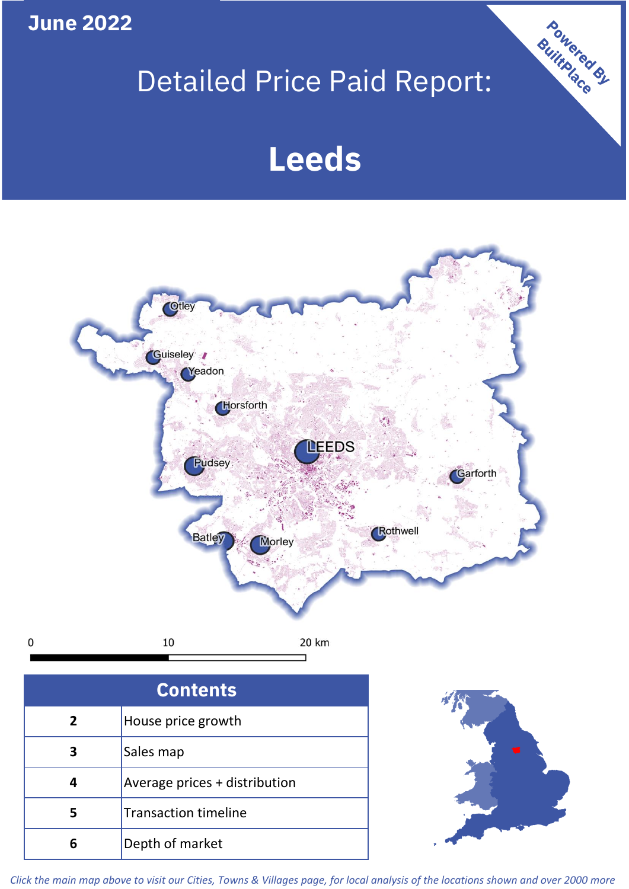**June 2022**

 $\mathbf 0$ 

# Detailed Price Paid Report:

# **Leeds**



| <b>Contents</b> |                               |  |  |
|-----------------|-------------------------------|--|--|
| $\overline{2}$  | House price growth            |  |  |
| З               | Sales map                     |  |  |
|                 | Average prices + distribution |  |  |
| 5               | <b>Transaction timeline</b>   |  |  |
|                 | Depth of market               |  |  |



Powered By

*Click the main map above to visit our Cities, Towns & Villages page, for local analysis of the locations shown and over 2000 more*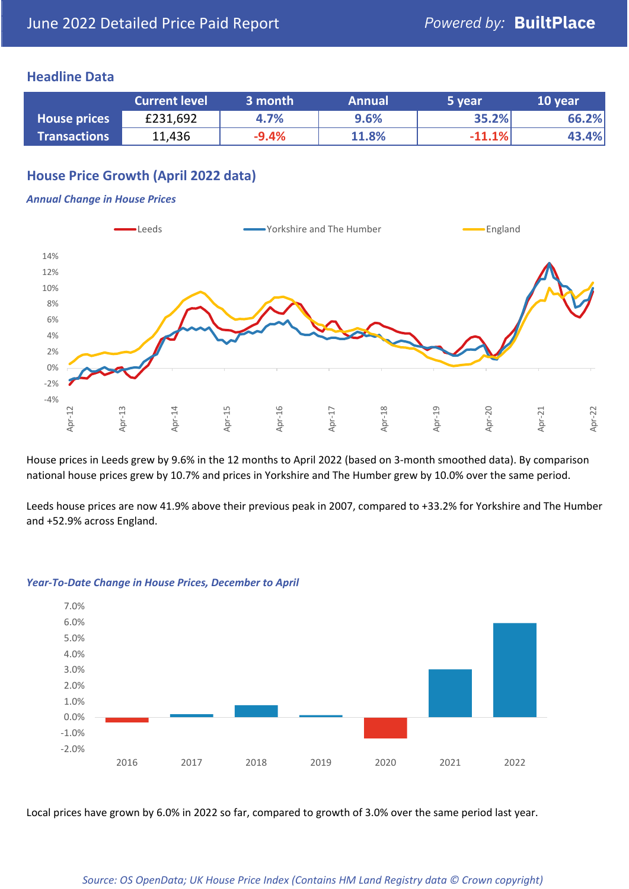## **Headline Data**

|                     | <b>Current level</b> | 3 month | <b>Annual</b> | 5 year   | 10 year |
|---------------------|----------------------|---------|---------------|----------|---------|
| <b>House prices</b> | £231,692             | 4.7%    | 9.6%          | 35.2%    | 66.2%   |
| <b>Transactions</b> | 11,436               | $-9.4%$ | 11.8%         | $-11.1%$ | 43.4%   |

## **House Price Growth (April 2022 data)**

#### *Annual Change in House Prices*



House prices in Leeds grew by 9.6% in the 12 months to April 2022 (based on 3-month smoothed data). By comparison national house prices grew by 10.7% and prices in Yorkshire and The Humber grew by 10.0% over the same period.

Leeds house prices are now 41.9% above their previous peak in 2007, compared to +33.2% for Yorkshire and The Humber and +52.9% across England.



#### *Year-To-Date Change in House Prices, December to April*

Local prices have grown by 6.0% in 2022 so far, compared to growth of 3.0% over the same period last year.

#### *Source: OS OpenData; UK House Price Index (Contains HM Land Registry data © Crown copyright)*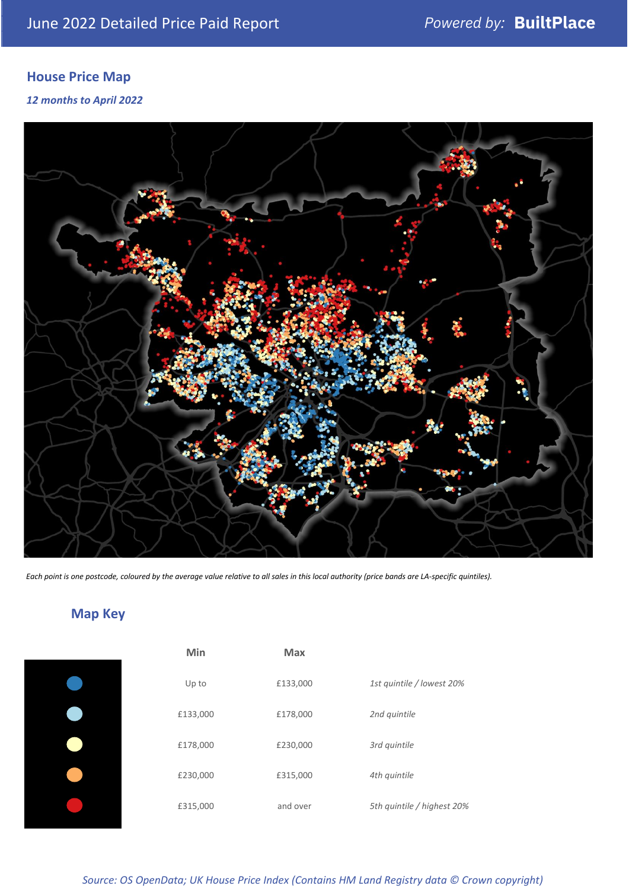# **House Price Map**

### *12 months to April 2022*



*Each point is one postcode, coloured by the average value relative to all sales in this local authority (price bands are LA-specific quintiles).*

# **Map Key**

| Min      | <b>Max</b> |                            |
|----------|------------|----------------------------|
| Up to    | £133,000   | 1st quintile / lowest 20%  |
| £133,000 | £178,000   | 2nd quintile               |
| £178,000 | £230,000   | 3rd quintile               |
| £230,000 | £315,000   | 4th quintile               |
| £315,000 | and over   | 5th quintile / highest 20% |
|          |            |                            |

*Source: OS OpenData; UK House Price Index (Contains HM Land Registry data © Crown copyright)*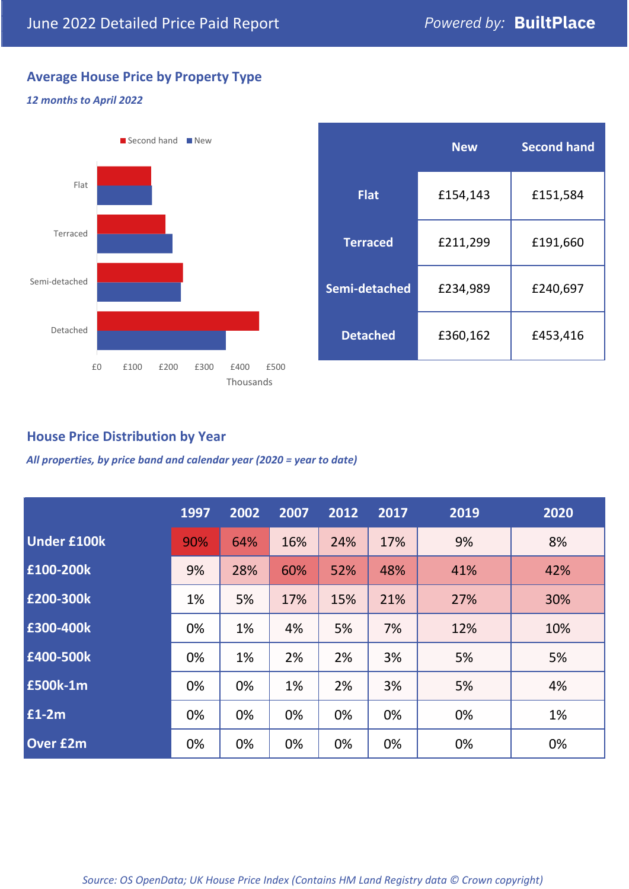# **Average House Price by Property Type**

### *12 months to April 2022*



|                 | <b>New</b> | <b>Second hand</b> |  |  |
|-----------------|------------|--------------------|--|--|
| <b>Flat</b>     | £154,143   | £151,584           |  |  |
| <b>Terraced</b> | £211,299   | £191,660           |  |  |
| Semi-detached   | £234,989   | £240,697           |  |  |
| <b>Detached</b> | £360,162   | £453,416           |  |  |

## **House Price Distribution by Year**

*All properties, by price band and calendar year (2020 = year to date)*

|                    | 1997 | 2002 | 2007 | 2012 | 2017 | 2019 | 2020 |
|--------------------|------|------|------|------|------|------|------|
| <b>Under £100k</b> | 90%  | 64%  | 16%  | 24%  | 17%  | 9%   | 8%   |
| £100-200k          | 9%   | 28%  | 60%  | 52%  | 48%  | 41%  | 42%  |
| E200-300k          | 1%   | 5%   | 17%  | 15%  | 21%  | 27%  | 30%  |
| £300-400k          | 0%   | 1%   | 4%   | 5%   | 7%   | 12%  | 10%  |
| £400-500k          | 0%   | 1%   | 2%   | 2%   | 3%   | 5%   | 5%   |
| £500k-1m           | 0%   | 0%   | 1%   | 2%   | 3%   | 5%   | 4%   |
| £1-2m              | 0%   | 0%   | 0%   | 0%   | 0%   | 0%   | 1%   |
| <b>Over £2m</b>    | 0%   | 0%   | 0%   | 0%   | 0%   | 0%   | 0%   |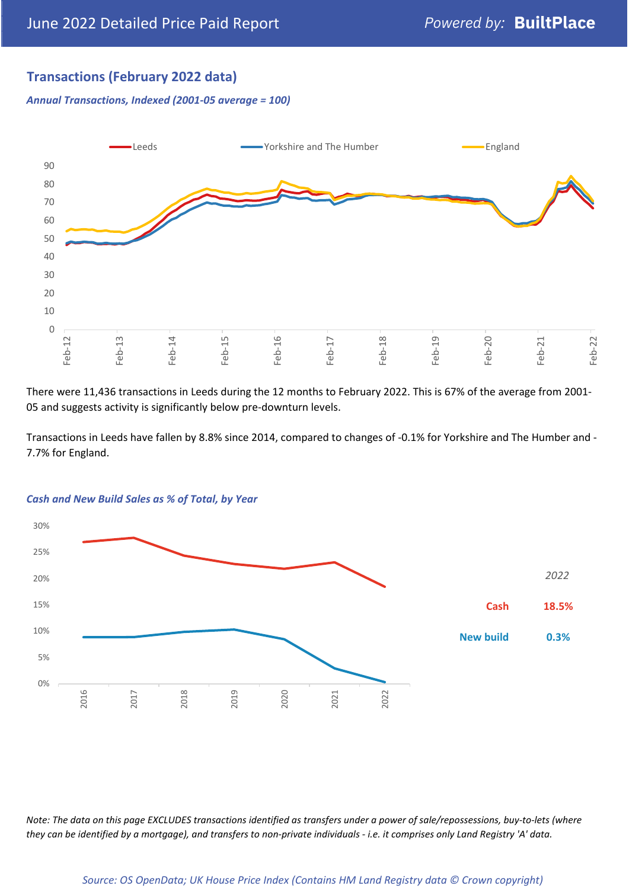## **Transactions (February 2022 data)**

*Annual Transactions, Indexed (2001-05 average = 100)*



There were 11,436 transactions in Leeds during the 12 months to February 2022. This is 67% of the average from 2001- 05 and suggests activity is significantly below pre-downturn levels.

Transactions in Leeds have fallen by 8.8% since 2014, compared to changes of -0.1% for Yorkshire and The Humber and - 7.7% for England.



#### *Cash and New Build Sales as % of Total, by Year*

*Note: The data on this page EXCLUDES transactions identified as transfers under a power of sale/repossessions, buy-to-lets (where they can be identified by a mortgage), and transfers to non-private individuals - i.e. it comprises only Land Registry 'A' data.*